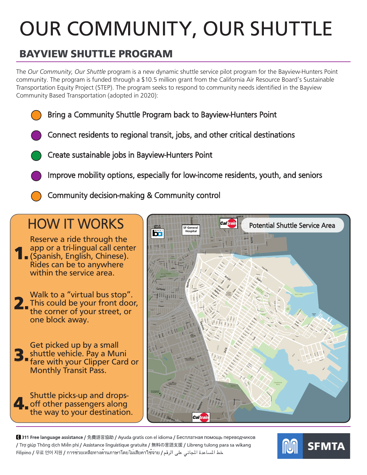# OUR COMMUNITY, OUR SHUTTLE

## BAYVIEW SHUTTLE PROGRAM

The *Our Community, Our Shuttle* program is a new dynamic shuttle service pilot program for the Bayview-Hunters Point community. The program is funded through a \$10.5 million grant from the California Air Resource Board's Sustainable Transportation Equity Project (STEP). The program seeks to respond to community needs identified in the Bayview Community Based Transportation (adopted in 2020):

- Bring a Community Shuttle Program back to Bayview-Hunters Point
- Connect residents to regional transit, jobs, and other critical destinations
- Create sustainable jobs in Bayview-Hunters Point
- Improve mobility options, especially for low-income residents, youth, and seniors
- Community decision-making & Community control

# HOW IT WORKS

Rides can be to anywhere Cer<br>Cer app or a tri-lingual call center app or a tri-lingual call cente<br>1. (Spanish, English, Chinese). Reserve a ride through the within the service area.

Walk to a "virtual bus stop". d 2. This could be your front door,<br>the corner of your street, or the corner of your street, or one block away.

3. Get picked up by a small shuttle vehicle. Pay a Muni fare with your Clipper Card or Monthly Transit Pass.

Shuttle picks-up and drops-<br>off other passengers along<br>the way to your destination off other passengers along the way to your destination.



■ 311 Free language assistance / 免費語言協助 / Ayuda gratis con el idioma / Бесплатная помощь переводчиков / Trợ giúp Thông dịch Miễn phí / Assistance linguistique gratuite / 無料の言語支援 / Libreng tulong para sa wikang خط المساعدة المجاني على الرقم / Filipino / 무료 언어 지원 / การช่วยเหลือทางด้านภาษาโดยไม่เสียค่าใช้จ่าย